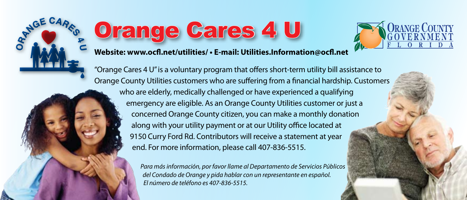

## Orange Cares 4 U



**Website:<www.ocfl.net/utilities/>• E-mail: [Utilities.Information@ocfl.net](mailto: Utilities.Information@ocfl.net)**

"Orange Cares 4 U" is a voluntary program that offers short-term utility bill assistance to Orange County Utilities customers who are suffering from a financial hardship. Customers who are elderly, medically challenged or have experienced a qualifying emergency are eligible. As an Orange County Utilities customer or just a concerned Orange County citizen, you can make a monthly donation along with your utility payment or at our Utility office located at 9150 Curry Ford Rd. Contributors will receive a statement at year end. For more information, please call 407-836-5515.

> *Para más información, por favor llame al Departamento de Servicios Públicos del Condado de Orange y pida hablar con un representante en español. El número de teléfono es 407-836-5515.*